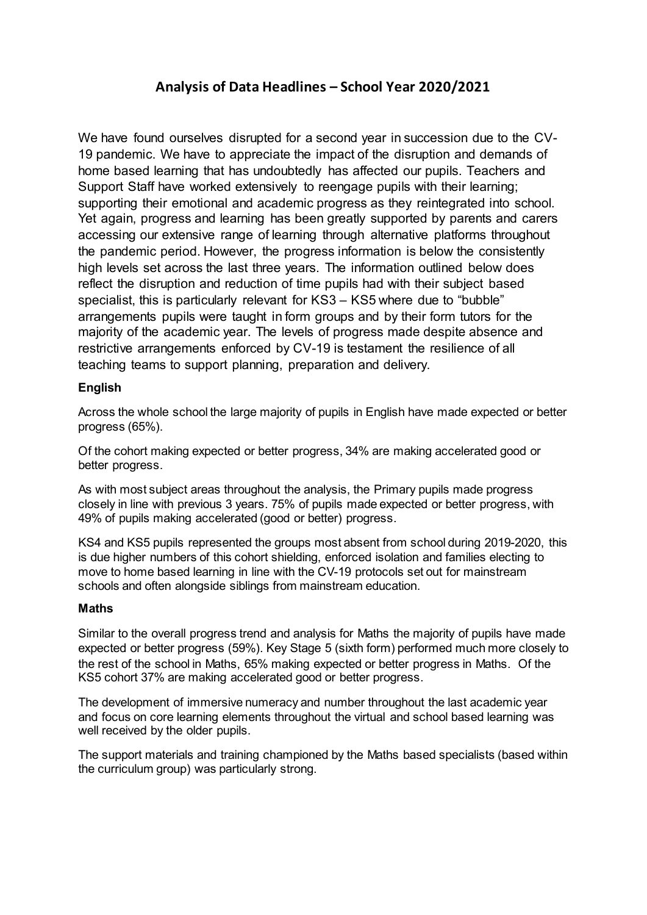# **Analysis of Data Headlines – School Year 2020/2021**

We have found ourselves disrupted for a second year in succession due to the CV-19 pandemic. We have to appreciate the impact of the disruption and demands of home based learning that has undoubtedly has affected our pupils. Teachers and Support Staff have worked extensively to reengage pupils with their learning; supporting their emotional and academic progress as they reintegrated into school. Yet again, progress and learning has been greatly supported by parents and carers accessing our extensive range of learning through alternative platforms throughout the pandemic period. However, the progress information is below the consistently high levels set across the last three years. The information outlined below does reflect the disruption and reduction of time pupils had with their subject based specialist, this is particularly relevant for KS3 – KS5 where due to "bubble" arrangements pupils were taught in form groups and by their form tutors for the majority of the academic year. The levels of progress made despite absence and restrictive arrangements enforced by CV-19 is testament the resilience of all teaching teams to support planning, preparation and delivery.

## **English**

Across the whole school the large majority of pupils in English have made expected or better progress (65%).

Of the cohort making expected or better progress, 34% are making accelerated good or better progress.

As with most subject areas throughout the analysis, the Primary pupils made progress closely in line with previous 3 years. 75% of pupils made expected or better progress, with 49% of pupils making accelerated (good or better) progress.

KS4 and KS5 pupils represented the groups most absent from school during 2019-2020, this is due higher numbers of this cohort shielding, enforced isolation and families electing to move to home based learning in line with the CV-19 protocols set out for mainstream schools and often alongside siblings from mainstream education.

### **Maths**

Similar to the overall progress trend and analysis for Maths the majority of pupils have made expected or better progress (59%). Key Stage 5 (sixth form) performed much more closely to the rest of the school in Maths, 65% making expected or better progress in Maths. Of the KS5 cohort 37% are making accelerated good or better progress.

The development of immersive numeracy and number throughout the last academic year and focus on core learning elements throughout the virtual and school based learning was well received by the older pupils.

The support materials and training championed by the Maths based specialists (based within the curriculum group) was particularly strong.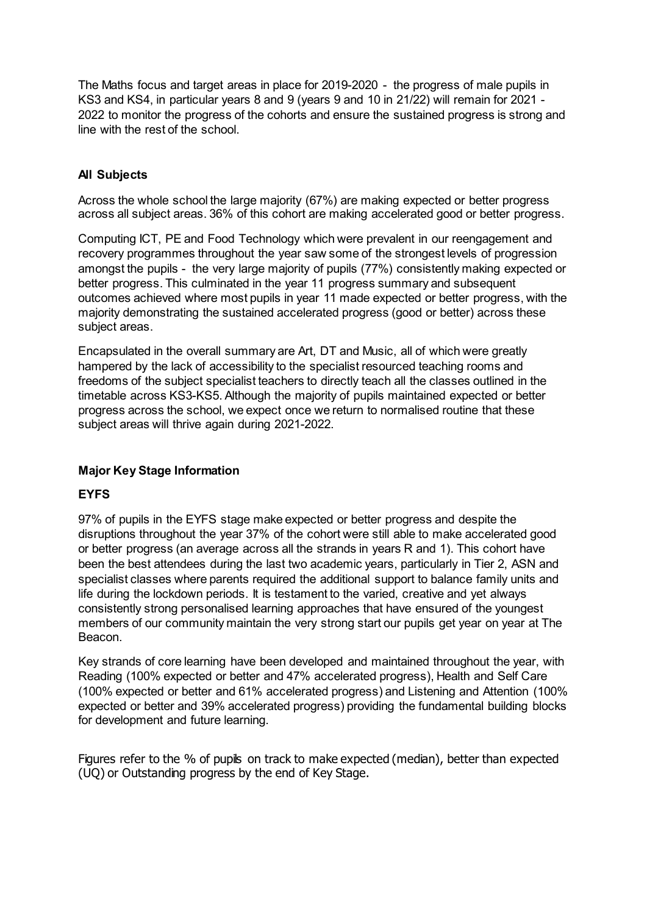The Maths focus and target areas in place for 2019-2020 - the progress of male pupils in KS3 and KS4, in particular years 8 and 9 (years 9 and 10 in 21/22) will remain for 2021 - 2022 to monitor the progress of the cohorts and ensure the sustained progress is strong and line with the rest of the school.

## **All Subjects**

Across the whole school the large majority (67%) are making expected or better progress across all subject areas. 36% of this cohort are making accelerated good or better progress.

Computing ICT, PE and Food Technology which were prevalent in our reengagement and recovery programmes throughout the year saw some of the strongest levels of progression amongst the pupils - the very large majority of pupils (77%) consistently making expected or better progress. This culminated in the year 11 progress summary and subsequent outcomes achieved where most pupils in year 11 made expected or better progress, with the majority demonstrating the sustained accelerated progress (good or better) across these subject areas.

Encapsulated in the overall summary are Art, DT and Music, all of which were greatly hampered by the lack of accessibility to the specialist resourced teaching rooms and freedoms of the subject specialist teachers to directly teach all the classes outlined in the timetable across KS3-KS5. Although the majority of pupils maintained expected or better progress across the school, we expect once we return to normalised routine that these subject areas will thrive again during 2021-2022.

## **Major Key Stage Information**

## **EYFS**

97% of pupils in the EYFS stage make expected or better progress and despite the disruptions throughout the year 37% of the cohort were still able to make accelerated good or better progress (an average across all the strands in years R and 1). This cohort have been the best attendees during the last two academic years, particularly in Tier 2, ASN and specialist classes where parents required the additional support to balance family units and life during the lockdown periods. It is testament to the varied, creative and yet always consistently strong personalised learning approaches that have ensured of the youngest members of our community maintain the very strong start our pupils get year on year at The Beacon.

Key strands of core learning have been developed and maintained throughout the year, with Reading (100% expected or better and 47% accelerated progress), Health and Self Care (100% expected or better and 61% accelerated progress) and Listening and Attention (100% expected or better and 39% accelerated progress) providing the fundamental building blocks for development and future learning.

Figures refer to the % of pupils on track to make expected (median), better than expected (UQ) or Outstanding progress by the end of Key Stage.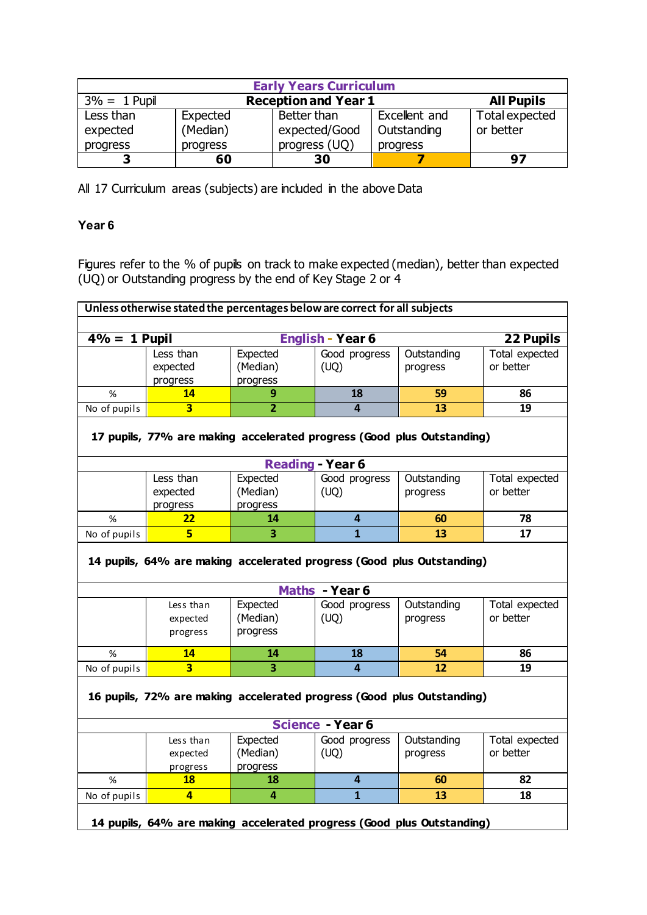| <b>Early Years Curriculum</b> |                                                  |               |               |                |  |  |  |  |
|-------------------------------|--------------------------------------------------|---------------|---------------|----------------|--|--|--|--|
| $3\% = 1$ Pupil               | <b>All Pupils</b><br><b>Reception and Year 1</b> |               |               |                |  |  |  |  |
| Less than                     | Expected                                         | Better than   | Excellent and | Total expected |  |  |  |  |
| expected                      | (Median)                                         | expected/Good | Outstanding   | or better      |  |  |  |  |
| progress                      | progress                                         | progress (UQ) | progress      |                |  |  |  |  |
| כ                             | 60                                               | 30            |               | 97             |  |  |  |  |

All 17 Curriculum areas (subjects) are included in the above Data

# **Year 6**

Figures refer to the % of pupils on track to make expected (median), better than expected (UQ) or Outstanding progress by the end of Key Stage 2 or 4

| Unless otherwise stated the percentages below are correct for all subjects |                                                                        |                |                         |             |                |  |  |  |  |  |
|----------------------------------------------------------------------------|------------------------------------------------------------------------|----------------|-------------------------|-------------|----------------|--|--|--|--|--|
|                                                                            |                                                                        |                |                         |             |                |  |  |  |  |  |
| $4\% = 1$ Pupil                                                            |                                                                        |                | <b>English - Year 6</b> |             | 22 Pupils      |  |  |  |  |  |
|                                                                            | Less than                                                              | Expected       | Good progress           | Outstanding | Total expected |  |  |  |  |  |
|                                                                            | expected                                                               | (Median)       | (UQ)                    | progress    | or better      |  |  |  |  |  |
|                                                                            | progress                                                               | progress       |                         |             |                |  |  |  |  |  |
| %                                                                          | 14                                                                     | 9              | 18                      | 59          | 86             |  |  |  |  |  |
| No of pupils                                                               | $\overline{\mathbf{3}}$                                                | $\overline{2}$ | 4                       | 13          | 19             |  |  |  |  |  |
|                                                                            | 17 pupils, 77% are making accelerated progress (Good plus Outstanding) |                |                         |             |                |  |  |  |  |  |
|                                                                            |                                                                        |                | <b>Reading - Year 6</b> |             |                |  |  |  |  |  |
|                                                                            | Less than                                                              | Expected       | Good progress           | Outstanding | Total expected |  |  |  |  |  |
|                                                                            | expected                                                               | (Median)       | (UQ)                    | progress    | or better      |  |  |  |  |  |
|                                                                            | progress                                                               | progress       |                         |             |                |  |  |  |  |  |
| %                                                                          | 22                                                                     | 14             | $\overline{4}$          | 60          | 78             |  |  |  |  |  |
| No of pupils                                                               | $\overline{5}$                                                         | 3              | $\overline{1}$          | 13          | 17             |  |  |  |  |  |
|                                                                            | 14 pupils, 64% are making accelerated progress (Good plus Outstanding) |                | Maths - Year 6          |             |                |  |  |  |  |  |
|                                                                            | Less than                                                              | Expected       | Good progress           | Outstanding | Total expected |  |  |  |  |  |
|                                                                            | expected                                                               | (Median)       | (UQ)                    | progress    | or better      |  |  |  |  |  |
|                                                                            | progress                                                               | progress       |                         |             |                |  |  |  |  |  |
| %                                                                          | 14                                                                     | 14             | 18                      | 54          | 86             |  |  |  |  |  |
| No of pupils                                                               | $\overline{\mathbf{3}}$                                                | 3              | $\overline{4}$          | 12          | 19             |  |  |  |  |  |
|                                                                            | 16 pupils, 72% are making accelerated progress (Good plus Outstanding) |                |                         |             |                |  |  |  |  |  |
|                                                                            |                                                                        |                | <b>Science - Year 6</b> |             |                |  |  |  |  |  |
|                                                                            | Less than                                                              | Expected       | Good progress           | Outstanding | Total expected |  |  |  |  |  |
|                                                                            | expected                                                               | (Median)       | (UQ)                    | progress    | or better      |  |  |  |  |  |
|                                                                            | progress                                                               | progress       |                         |             |                |  |  |  |  |  |
| $\%$                                                                       | 18                                                                     | 18             | $\overline{\mathbf{4}}$ | 60          | 82             |  |  |  |  |  |
| No of pupils                                                               | $\overline{4}$                                                         | 4              | $\overline{1}$          | 13          | 18             |  |  |  |  |  |
|                                                                            | 14 pupils, 64% are making accelerated progress (Good plus Outstanding) |                |                         |             |                |  |  |  |  |  |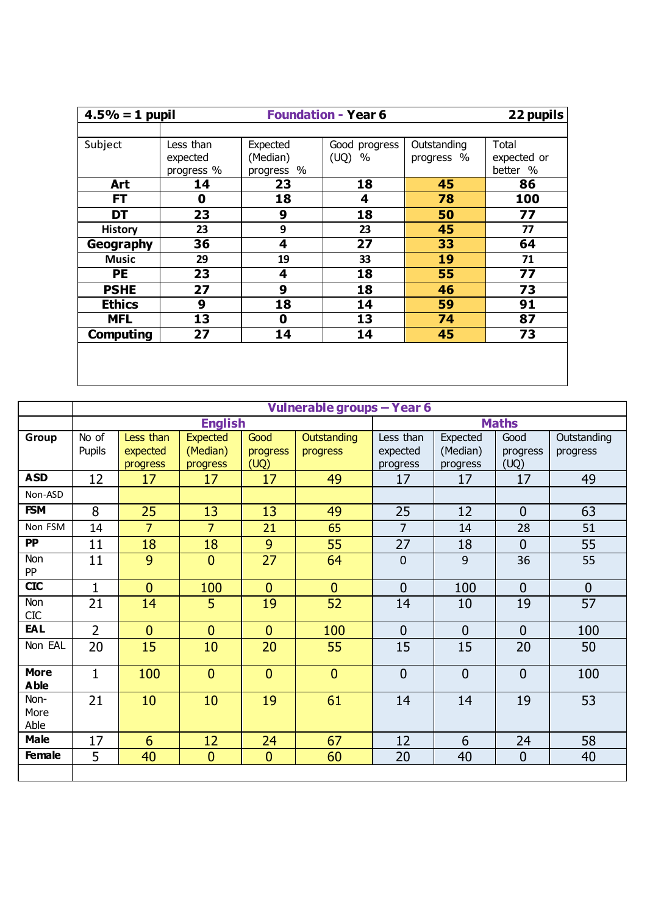| $4.5% = 1$ pupil |             |            | <b>Foundation - Year 6</b> |             | 22 pupils   |
|------------------|-------------|------------|----------------------------|-------------|-------------|
|                  |             |            |                            |             |             |
| Subject          | Less than   | Expected   | Good progress              | Outstanding | Total       |
|                  | expected    | (Median)   | (UQ)<br>$\%$               | progress %  | expected or |
|                  | progress %  | progress % |                            |             | better %    |
| Art              | 14          | 23         | 18                         | 45          | 86          |
| <b>FT</b>        | $\mathbf 0$ | 18         | 4                          | 78          | 100         |
| DT               | 23          | 9          | 18                         | 50          | 77          |
| <b>History</b>   | 23          | 9          | 23                         | 45          | 77          |
| Geography        | 36          | 4          | 27                         | 33          | 64          |
| <b>Music</b>     | 29          | 19         | 33                         | 19          | 71          |
| <b>PE</b>        | 23          | 4          | 18                         | 55          | 77          |
| <b>PSHE</b>      | 27          | 9          | 18                         | 46          | 73          |
| <b>Ethics</b>    | 9           | 18         | 14                         | 59          | 91          |
| <b>MFL</b>       | 13          | 0          | 13                         | 74          | 87          |
| <b>Computing</b> | 27          | 14         | 14                         | 45          | 73          |
|                  |             |            |                            |             |             |
|                  |             |            |                            |             |             |
|                  |             |            |                            |             |             |

|                            |                |                |                 |                | Vulnerable groups - Year 6 |                |                |                |                |
|----------------------------|----------------|----------------|-----------------|----------------|----------------------------|----------------|----------------|----------------|----------------|
|                            |                |                | <b>English</b>  |                |                            |                |                | <b>Maths</b>   |                |
| Group                      | No of          | Less than      | <b>Expected</b> | Good           | <b>Outstanding</b>         | Less than      | Expected       | Good           | Outstanding    |
|                            | Pupils         | expected       | (Median)        | progress       | progress                   | expected       | (Median)       | progress       | progress       |
|                            |                | progress       | progress        | (UQ)           |                            | progress       | progress       | (UQ)           |                |
| <b>ASD</b>                 | 12             | 17             | 17              | 17             | 49                         | 17             | 17             | 17             | 49             |
| Non-ASD                    |                |                |                 |                |                            |                |                |                |                |
| <b>FSM</b>                 | 8              | 25             | 13              | 13             | 49                         | 25             | 12             | $\overline{0}$ | 63             |
| Non FSM                    | 14             | $\overline{7}$ | $\overline{7}$  | 21             | 65                         | $\overline{7}$ | 14             | 28             | 51             |
| <b>PP</b>                  | 11             | 18             | 18              | 9              | 55                         | 27             | 18             | $\overline{0}$ | 55             |
| Non<br><b>PP</b>           | 11             | 9              | $\mathbf{0}$    | 27             | 64                         | $\mathbf 0$    | 9              | 36             | 55             |
| <b>CIC</b>                 | $\mathbf{1}$   | $\overline{0}$ | 100             | $\mathbf{0}$   | $\mathbf{0}$               | $\overline{0}$ | 100            | $\Omega$       | $\overline{0}$ |
| Non<br><b>CIC</b>          | 21             | 14             | 5               | 19             | 52                         | 14             | 10             | 19             | 57             |
| EAL                        | $\overline{2}$ | $\overline{0}$ | $\mathbf{0}$    | $\overline{0}$ | 100                        | $\overline{0}$ | $\overline{0}$ | $\Omega$       | 100            |
| Non EAL                    | 20             | 15             | 10              | 20             | 55                         | 15             | 15             | 20             | 50             |
| <b>More</b><br><b>Able</b> | $\mathbf{1}$   | 100            | $\mathbf{0}$    | $\mathbf{0}$   | $\mathbf{0}$               | $\overline{0}$ | $\overline{0}$ | $\overline{0}$ | 100            |
| Non-<br>More<br>Able       | 21             | 10             | 10              | 19             | 61                         | 14             | 14             | 19             | 53             |
| <b>Male</b>                | 17             | 6              | 12              | 24             | 67                         | 12             | 6              | 24             | 58             |
| <b>Female</b>              | 5              | 40             | $\mathbf{0}$    | $\mathbf{0}$   | 60                         | 20             | 40             | $\overline{0}$ | 40             |
|                            |                |                |                 |                |                            |                |                |                |                |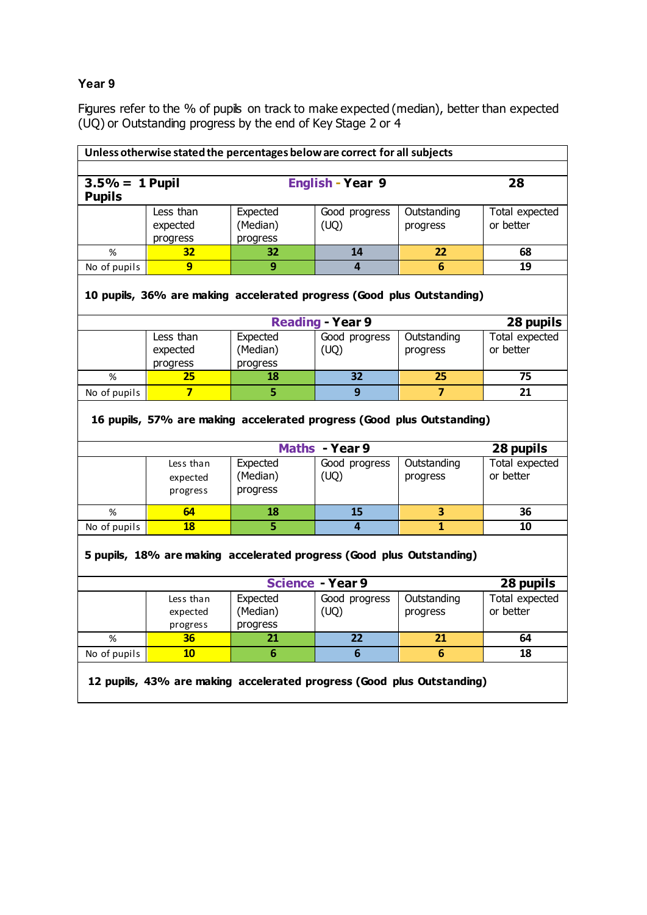# **Year 9**

Figures refer to the % of pupils on track to make expected (median), better than expected (UQ) or Outstanding progress by the end of Key Stage 2 or 4

| Unless otherwise stated the percentages below are correct for all subjects |                                                                        |          |                         |                         |                |  |  |  |  |
|----------------------------------------------------------------------------|------------------------------------------------------------------------|----------|-------------------------|-------------------------|----------------|--|--|--|--|
|                                                                            |                                                                        |          |                         |                         |                |  |  |  |  |
| $3.5\% = 1$ Pupil<br><b>Pupils</b>                                         |                                                                        |          | <b>English - Year 9</b> |                         | 28             |  |  |  |  |
|                                                                            | Less than                                                              | Expected | Good progress           | Outstanding             | Total expected |  |  |  |  |
|                                                                            | expected                                                               | (Median) | (UQ)                    | progress                | or better      |  |  |  |  |
|                                                                            | progress                                                               | progress |                         |                         |                |  |  |  |  |
| $\%$                                                                       | 32                                                                     | 32       | 14                      | 22                      | 68             |  |  |  |  |
| No of pupils                                                               | $\overline{9}$                                                         | 9        | 4                       | 6                       | 19             |  |  |  |  |
| 10 pupils, 36% are making accelerated progress (Good plus Outstanding)     |                                                                        |          |                         |                         |                |  |  |  |  |
| <b>Reading - Year 9</b><br>28 pupils                                       |                                                                        |          |                         |                         |                |  |  |  |  |
|                                                                            | Less than                                                              | Expected | Good progress           | Outstanding             | Total expected |  |  |  |  |
|                                                                            | expected                                                               | (Median) | (UQ)                    | progress                | or better      |  |  |  |  |
|                                                                            | progress                                                               | progress |                         |                         |                |  |  |  |  |
| %                                                                          | 25                                                                     | 18       | $\overline{32}$         | 25                      | 75             |  |  |  |  |
| No of pupils                                                               | $\overline{\mathbf{z}}$                                                | 5        | 9                       | $\overline{7}$          | 21             |  |  |  |  |
|                                                                            | 16 pupils, 57% are making accelerated progress (Good plus Outstanding) |          |                         |                         |                |  |  |  |  |
|                                                                            |                                                                        |          | Maths - Year 9          |                         | 28 pupils      |  |  |  |  |
|                                                                            | Less than                                                              | Expected | Good progress           | Outstanding             | Total expected |  |  |  |  |
|                                                                            | expected                                                               | (Median) | (UQ)                    | progress                | or better      |  |  |  |  |
|                                                                            | progress                                                               | progress |                         |                         |                |  |  |  |  |
| %                                                                          | 64                                                                     | 18       | 15                      | 3                       | 36             |  |  |  |  |
| No of pupils                                                               | <b>18</b>                                                              | 5        | $\overline{a}$          | $\overline{\mathbf{1}}$ | 10             |  |  |  |  |
|                                                                            | 5 pupils, 18% are making accelerated progress (Good plus Outstanding)  |          |                         |                         |                |  |  |  |  |
|                                                                            |                                                                        |          | <b>Science - Year 9</b> |                         | 28 pupils      |  |  |  |  |
|                                                                            | Less than                                                              | Expected | Good progress           | Outstanding             | Total expected |  |  |  |  |
|                                                                            | expected                                                               | (Median) | (UQ)                    | progress                | or better      |  |  |  |  |
|                                                                            | progress                                                               | progress |                         |                         |                |  |  |  |  |
| $\%$                                                                       | 36                                                                     | 21       | 22                      | 21                      | 64             |  |  |  |  |
| No of pupils                                                               | 10                                                                     | 6        | $6\phantom{1}6$         | 6                       | 18             |  |  |  |  |
|                                                                            | 12 pupils, 43% are making accelerated progress (Good plus Outstanding) |          |                         |                         |                |  |  |  |  |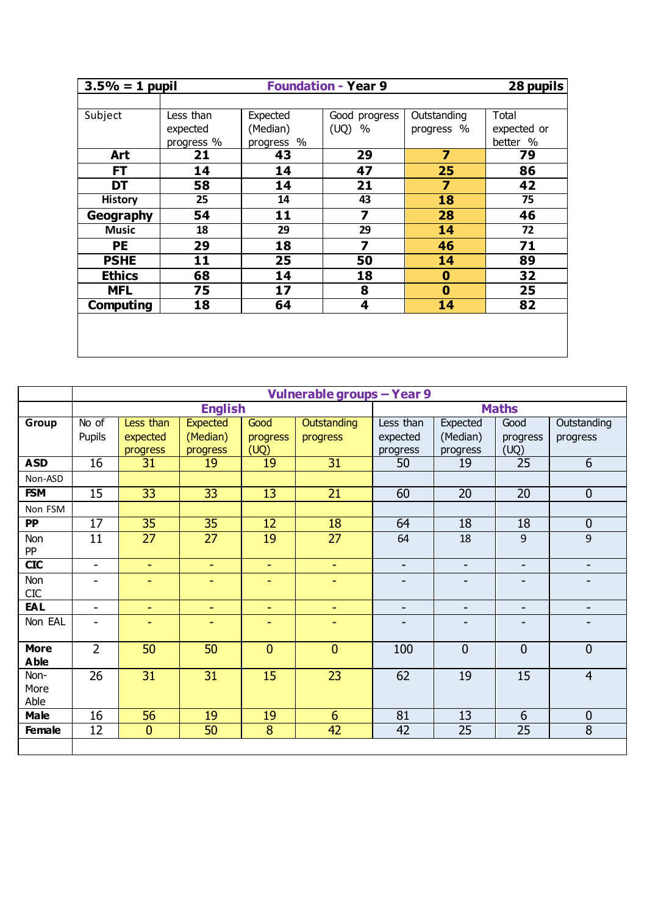| <b>Foundation - Year 9</b><br>$3.5% = 1$ pupil |            |            |               |             |             |  |  |
|------------------------------------------------|------------|------------|---------------|-------------|-------------|--|--|
|                                                |            |            |               |             |             |  |  |
| Subject                                        | Less than  | Expected   | Good progress | Outstanding | Total       |  |  |
|                                                | expected   | (Median)   | (UQ)<br>$\%$  | progress %  | expected or |  |  |
|                                                | progress % | progress % |               |             | better %    |  |  |
| Art                                            | 21         | 43         | 29            | 7           | 79          |  |  |
| <b>FT</b>                                      | 14         | 14         | 47            | 25          | 86          |  |  |
| DT                                             | 58         | 14         | 21            | 7           | 42          |  |  |
| <b>History</b>                                 | 25         | 14         | 43            | 18          | 75          |  |  |
| Geography                                      | 54         | 11         | 7             | 28          | 46          |  |  |
| <b>Music</b>                                   | 18         | 29         | 29            | 14          | 72          |  |  |
| PE                                             | 29         | 18         | 7             | 46          | 71          |  |  |
| <b>PSHE</b>                                    | 11         | 25         | 50            | 14          | 89          |  |  |
| <b>Ethics</b>                                  | 68         | 14         | 18            | $\bf{0}$    | 32          |  |  |
| <b>MFL</b>                                     | 75         | 17         | 8             | $\bf{0}$    | 25          |  |  |
| Computing                                      | 18         | 64         | 4             | 14          | 82          |  |  |
|                                                |            |            |               |             |             |  |  |
|                                                |            |            |               |             |             |  |  |
|                                                |            |            |               |             |             |  |  |

|                   | Vulnerable groups - Year 9 |                 |                 |                 |                 |           |                 |                 |                  |  |  |
|-------------------|----------------------------|-----------------|-----------------|-----------------|-----------------|-----------|-----------------|-----------------|------------------|--|--|
|                   |                            |                 | <b>English</b>  |                 |                 |           |                 | <b>Maths</b>    |                  |  |  |
| Group             | No of                      | Less than       | <b>Expected</b> | Good            | Outstanding     | Less than | Expected        | Good            | Outstanding      |  |  |
|                   | Pupils                     | expected        | (Median)        | progress        | progress        | expected  | (Median)        | progress        | progress         |  |  |
|                   |                            | progress        | progress        | (UQ)            |                 | progress  | progress        | (UQ)            |                  |  |  |
| <b>ASD</b>        | $\overline{16}$            | 31              | 19              | 19              | 31              | 50        | 19              | $\overline{25}$ | 6                |  |  |
| Non-ASD           |                            |                 |                 |                 |                 |           |                 |                 |                  |  |  |
| <b>FSM</b>        | $\overline{15}$            | $\overline{33}$ | $\overline{33}$ | $\overline{13}$ | $\overline{21}$ | 60        | $\overline{20}$ | $\overline{20}$ | $\overline{0}$   |  |  |
| Non FSM           |                            |                 |                 |                 |                 |           |                 |                 |                  |  |  |
| $\overline{PP}$   | $\overline{17}$            | $\overline{35}$ | $\overline{35}$ | $\overline{12}$ | $\overline{18}$ | 64        | $\overline{18}$ | $\overline{18}$ | $\overline{0}$   |  |  |
| Non<br>PP         | 11                         | 27              | 27              | 19              | 27              | 64        | 18              | 9               | $\mathsf g$      |  |  |
| <b>CIC</b>        | $\overline{\phantom{a}}$   | $\equiv$        | $\blacksquare$  | $\sim$          | $\sim$          | $\sim$    | $\sim$          | ٠               | ٠.               |  |  |
|                   |                            |                 |                 |                 |                 |           |                 |                 |                  |  |  |
| Non<br><b>CIC</b> | ۰                          | ٠               | ۰               | ۰               | ٠               | -         |                 |                 |                  |  |  |
| <b>EAL</b>        | $\blacksquare$             | ٠               | ٠               | ٠               | ٠               | ٠         | -               | ۰               |                  |  |  |
| Non EAL           | ۰                          | ۰               | ۰               | ۰               | $\sim$          | ۰         |                 |                 |                  |  |  |
|                   |                            |                 |                 |                 |                 |           |                 |                 |                  |  |  |
| <b>More</b>       | $\overline{2}$             | 50              | 50              | $\mathbf{0}$    | $\mathbf{0}$    | 100       | $\mathbf 0$     | $\mathbf{0}$    | $\mathbf{0}$     |  |  |
| <b>Able</b>       |                            |                 |                 |                 |                 |           |                 |                 |                  |  |  |
| Non-              | 26                         | 31              | 31              | 15              | 23              | 62        | 19              | 15              | $\overline{4}$   |  |  |
| More              |                            |                 |                 |                 |                 |           |                 |                 |                  |  |  |
| Able              |                            |                 |                 |                 |                 |           |                 |                 |                  |  |  |
| <b>Male</b>       | 16                         | 56              | 19              | 19              | 6               | 81        | 13              | 6               | $\boldsymbol{0}$ |  |  |
| Female            | 12                         | $\mathbf{0}$    | 50              | 8               | 42              | 42        | 25              | 25              | 8                |  |  |
|                   |                            |                 |                 |                 |                 |           |                 |                 |                  |  |  |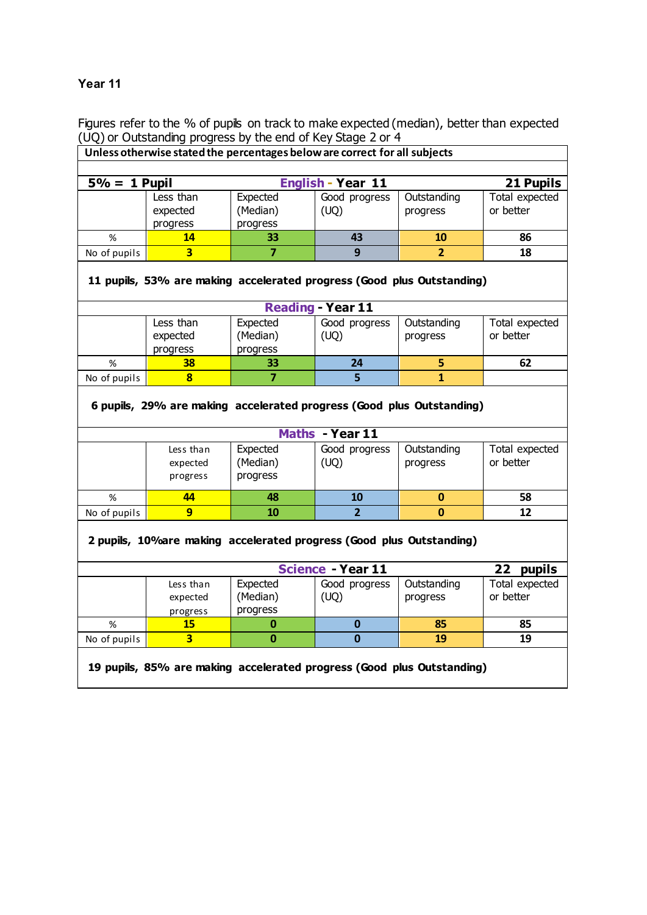### **Year 11**

Figures refer to the % of pupils on track to make expected (median), better than expected (UQ) or Outstanding progress by the end of Key Stage 2 or 4

| OQ) or Outstanding progress by the end or Ney Stage 2 or 4                                         |                                                                       |                                  |                          |                                                                       |                             |  |  |  |  |
|----------------------------------------------------------------------------------------------------|-----------------------------------------------------------------------|----------------------------------|--------------------------|-----------------------------------------------------------------------|-----------------------------|--|--|--|--|
| Unless otherwise stated the percentages below are correct for all subjects                         |                                                                       |                                  |                          |                                                                       |                             |  |  |  |  |
| $5\% = 1$ Pupil                                                                                    |                                                                       |                                  | <b>English - Year 11</b> |                                                                       | 21 Pupils                   |  |  |  |  |
|                                                                                                    | Less than<br>expected<br>progress                                     | Expected<br>(Median)<br>progress | Good progress<br>(UQ)    | Outstanding<br>progress                                               | Total expected<br>or better |  |  |  |  |
| %                                                                                                  | 14                                                                    | 33                               | 43                       | 10                                                                    | 86                          |  |  |  |  |
| No of pupils                                                                                       | $\overline{\mathbf{3}}$                                               | $\overline{7}$                   | 9                        | $\overline{2}$                                                        | 18                          |  |  |  |  |
| 11 pupils, 53% are making accelerated progress (Good plus Outstanding)<br><b>Reading - Year 11</b> |                                                                       |                                  |                          |                                                                       |                             |  |  |  |  |
|                                                                                                    | Less than<br>expected<br>progress                                     | Expected<br>(Median)<br>progress | Good progress<br>(UQ)    | Outstanding<br>progress                                               | Total expected<br>or better |  |  |  |  |
| $\%$                                                                                               | 38                                                                    | 33                               | 24                       | 5                                                                     | 62                          |  |  |  |  |
|                                                                                                    |                                                                       |                                  |                          |                                                                       |                             |  |  |  |  |
| No of pupils                                                                                       | $\bf{8}$                                                              | $\overline{7}$                   | 5                        | $\mathbf{1}$                                                          |                             |  |  |  |  |
|                                                                                                    |                                                                       |                                  |                          | 6 pupils, 29% are making accelerated progress (Good plus Outstanding) |                             |  |  |  |  |
|                                                                                                    |                                                                       |                                  | Maths - Year 11          |                                                                       |                             |  |  |  |  |
|                                                                                                    | Less than<br>expected<br>progress                                     | Expected<br>(Median)<br>progress | Good progress<br>(UQ)    | Outstanding<br>progress                                               | Total expected<br>or better |  |  |  |  |
| $\%$                                                                                               | 44                                                                    | 48                               | 10                       | 0                                                                     | 58                          |  |  |  |  |
| No of pupils                                                                                       | $\overline{9}$                                                        | 10                               | $\overline{2}$           | $\mathbf{0}$                                                          | 12                          |  |  |  |  |
|                                                                                                    | 2 pupils, 10% are making accelerated progress (Good plus Outstanding) |                                  |                          |                                                                       |                             |  |  |  |  |
|                                                                                                    |                                                                       |                                  | <b>Science - Year 11</b> |                                                                       | 22<br>pupils                |  |  |  |  |

% **15 0 0 85 85** No of pupils **3 0 0 19 19**

**19 pupils, 85% are making accelerated progress (Good plus Outstanding)**

progress

progress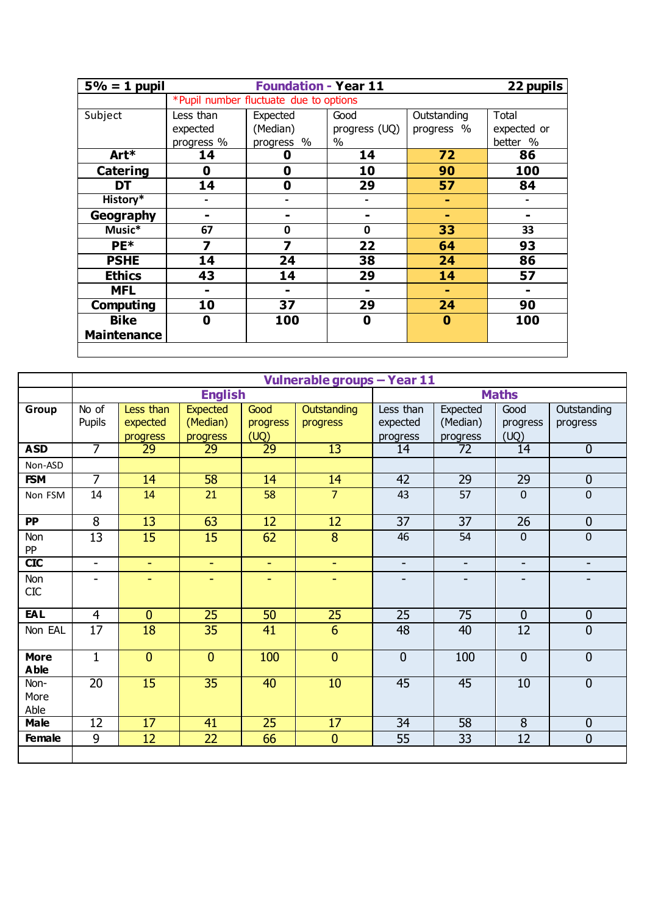| $5\% = 1$ pupil    |            | <b>Foundation - Year 11</b>            |               |             | 22 pupils   |
|--------------------|------------|----------------------------------------|---------------|-------------|-------------|
|                    |            | *Pupil number fluctuate due to options |               |             |             |
| Subject            | Less than  | Expected                               | Good          | Outstanding | Total       |
|                    | expected   | (Median)                               | progress (UQ) | progress %  | expected or |
|                    | progress % | progress %                             | $\%$          |             | better %    |
| Art*               | 14         | O                                      | 14            | 72          | 86          |
| Catering           | 0          | 0                                      | 10            | 90          | 100         |
| DT                 | 14         | 0                                      | 29            | 57          | 84          |
| History*           |            |                                        |               | ۰.          |             |
| Geography          |            |                                        |               | ۰           |             |
| Music*             | 67         | 0                                      | 0             | 33          | 33          |
| PE*                | 7          | 7                                      | 22            | 64          | 93          |
| <b>PSHE</b>        | 14         | 24                                     | 38            | 24          | 86          |
| <b>Ethics</b>      | 43         | 14                                     | 29            | 14          | 57          |
| <b>MFL</b>         |            | -                                      | -             | ۰           |             |
| Computing          | 10         | 37                                     | 29            | 24          | 90          |
| <b>Bike</b>        | 0          | 100                                    | 0             | $\bf{0}$    | 100         |
| <b>Maintenance</b> |            |                                        |               |             |             |
|                    |            |                                        |               |             |             |

|                            |                 |                 |                 |                 | Vulnerable groups - Year 11 |                 |                 |                 |                |
|----------------------------|-----------------|-----------------|-----------------|-----------------|-----------------------------|-----------------|-----------------|-----------------|----------------|
|                            |                 |                 | <b>English</b>  |                 |                             | <b>Maths</b>    |                 |                 |                |
| Group                      | $No$ of         | Less than       | <b>Expected</b> | Good            | Outstanding                 | Less than       | Expected        | Good            | Outstanding    |
|                            | Pupils          | expected        | (Median)        | progress        | progress                    | expected        | (Median)        | progress        | progress       |
|                            |                 | progress        | progress        | (UQ)            |                             | progress        | progress        | (UQ)            |                |
| <b>ASD</b>                 | $\overline{7}$  | $\overline{29}$ | $\overline{29}$ | $\overline{29}$ | $\overline{13}$             | 14              | $\overline{72}$ | 14              | $\overline{0}$ |
| Non-ASD                    |                 |                 |                 |                 |                             |                 |                 |                 |                |
| <b>FSM</b>                 | $\overline{7}$  | 14              | 58              | 14              | 14                          | 42              | 29              | $\overline{29}$ | $\mathbf{0}$   |
| Non FSM                    | 14              | 14              | 21              | 58              | $\overline{7}$              | 43              | 57              | $\mathbf 0$     | $\pmb{0}$      |
| <b>PP</b>                  | 8               | 13              | 63              | 12              | 12                          | 37              | 37              | 26              | $\mathbf 0$    |
| Non<br>PP                  | 13              | 15              | 15              | 62              | 8                           | 46              | 54              | $\mathbf 0$     | $\pmb{0}$      |
| <b>CIC</b>                 | $\blacksquare$  | ÷.              | ÷.              | ÷.              | ÷.                          | $\blacksquare$  | $\blacksquare$  | ٠               | ٠              |
| Non<br><b>CIC</b>          | ÷               | ٠               | ٠               | ٠               | ٠                           |                 | Ξ.              |                 |                |
| <b>EAL</b>                 | $\overline{4}$  | $\overline{0}$  | $\overline{25}$ | 50              | $\overline{25}$             | $\overline{25}$ | $\overline{75}$ | $\overline{0}$  | $\mathbf 0$    |
| Non EAL                    | 17              | 18              | 35              | 41              | 6                           | 48              | 40              | 12              | $\mathbf 0$    |
| <b>More</b><br><b>Able</b> | $\mathbf{1}$    | $\mathbf{0}$    | $\overline{0}$  | 100             | $\mathbf{0}$                | $\mathbf{0}$    | 100             | $\mathbf{0}$    | $\mathbf 0$    |
| Non-<br>More<br>Able       | $\overline{20}$ | $\overline{15}$ | $\overline{35}$ | 40              | 10                          | $\overline{45}$ | 45              | $\overline{10}$ | $\overline{0}$ |
| <b>Male</b>                | $\overline{12}$ | $\overline{17}$ | $\overline{41}$ | $\overline{25}$ | $\overline{17}$             | $\overline{34}$ | 58              | $\overline{8}$  | $\mathbf 0$    |
| <b>Female</b>              | 9               | 12              | 22              | 66              | $\mathbf{0}$                | 55              | 33              | 12              | $\overline{0}$ |
|                            |                 |                 |                 |                 |                             |                 |                 |                 |                |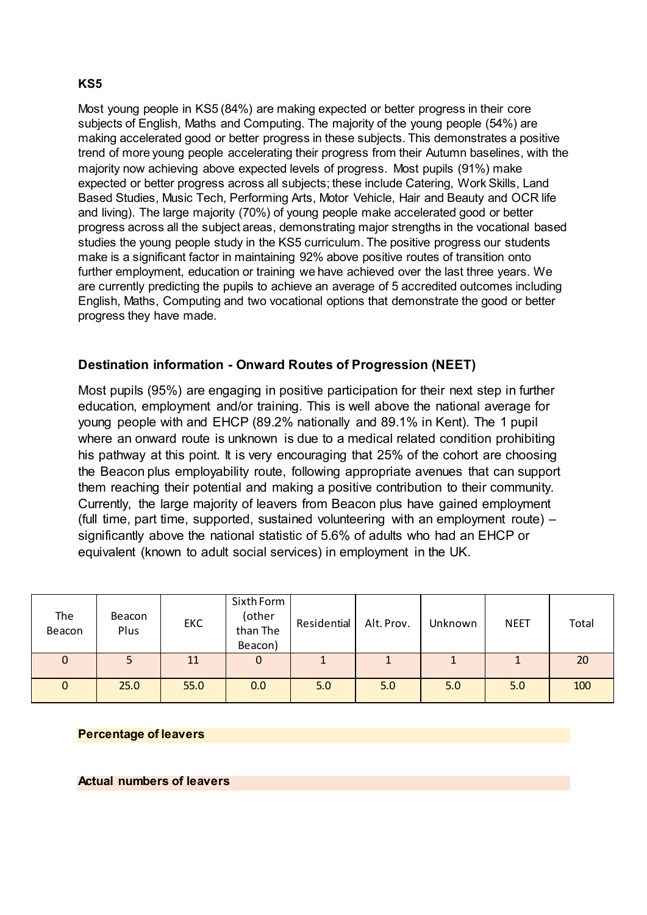## **KS5**

Most young people in KS5 (84%) are making expected or better progress in their core subjects of English, Maths and Computing. The majority of the young people (54%) are making accelerated good or better progress in these subjects. This demonstrates a positive trend of more young people accelerating their progress from their Autumn baselines, with the majority now achieving above expected levels of progress. Most pupils (91%) make expected or better progress across all subjects; these include Catering, Work Skills, Land Based Studies, Music Tech, Performing Arts, Motor Vehicle, Hair and Beauty and OCR life and living). The large majority (70%) of young people make accelerated good or better progress across all the subject areas, demonstrating major strengths in the vocational based studies the young people study in the KS5 curriculum. The positive progress our students make is a significant factor in maintaining 92% above positive routes of transition onto further employment, education or training we have achieved over the last three years. We are currently predicting the pupils to achieve an average of 5 accredited outcomes including English, Maths, Computing and two vocational options that demonstrate the good or better progress they have made.

# **Destination information - Onward Routes of Progression (NEET)**

Most pupils (95%) are engaging in positive participation for their next step in further education, employment and/or training. This is well above the national average for young people with and EHCP (89.2% nationally and 89.1% in Kent). The 1 pupil where an onward route is unknown is due to a medical related condition prohibiting his pathway at this point. It is very encouraging that 25% of the cohort are choosing the Beacon plus employability route, following appropriate avenues that can support them reaching their potential and making a positive contribution to their community. Currently, the large majority of leavers from Beacon plus have gained employment (full time, part time, supported, sustained volunteering with an employment route) – significantly above the national statistic of 5.6% of adults who had an EHCP or equivalent (known to adult social services) in employment in the UK.

| The<br>Beacon | Beacon<br>Plus | <b>EKC</b> | Sixth Form<br>(other<br>than The<br>Beacon) | Residential | Alt. Prov. | Unknown | <b>NEET</b> | Total |
|---------------|----------------|------------|---------------------------------------------|-------------|------------|---------|-------------|-------|
| $\mathbf 0$   |                | 11         | 0                                           |             |            |         |             | 20    |
| $\mathbf 0$   | 25.0           | 55.0       | 0.0                                         | 5.0         | 5.0        | 5.0     | 5.0         | 100   |

### **Percentage of leavers**

### **Actual numbers of leavers**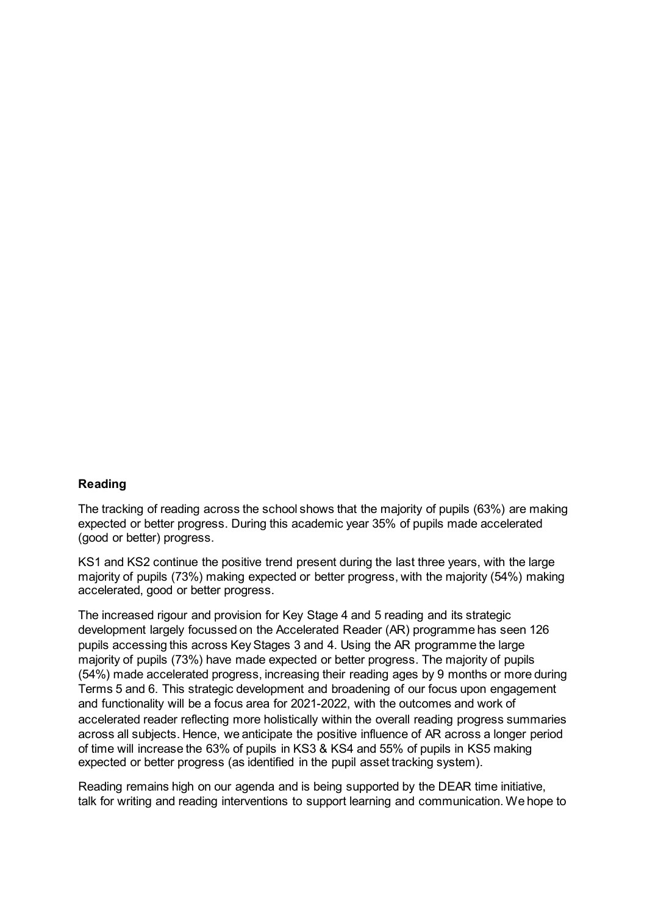### **Reading**

The tracking of reading across the school shows that the majority of pupils (63%) are making expected or better progress. During this academic year 35% of pupils made accelerated (good or better) progress.

KS1 and KS2 continue the positive trend present during the last three years, with the large majority of pupils (73%) making expected or better progress, with the majority (54%) making accelerated, good or better progress.

The increased rigour and provision for Key Stage 4 and 5 reading and its strategic development largely focussed on the Accelerated Reader (AR) programme has seen 126 pupils accessing this across Key Stages 3 and 4. Using the AR programme the large majority of pupils (73%) have made expected or better progress. The majority of pupils (54%) made accelerated progress, increasing their reading ages by 9 months or more during Terms 5 and 6. This strategic development and broadening of our focus upon engagement and functionality will be a focus area for 2021-2022, with the outcomes and work of accelerated reader reflecting more holistically within the overall reading progress summaries across all subjects. Hence, we anticipate the positive influence of AR across a longer period of time will increase the 63% of pupils in KS3 & KS4 and 55% of pupils in KS5 making expected or better progress (as identified in the pupil asset tracking system).

Reading remains high on our agenda and is being supported by the DEAR time initiative, talk for writing and reading interventions to support learning and communication. We hope to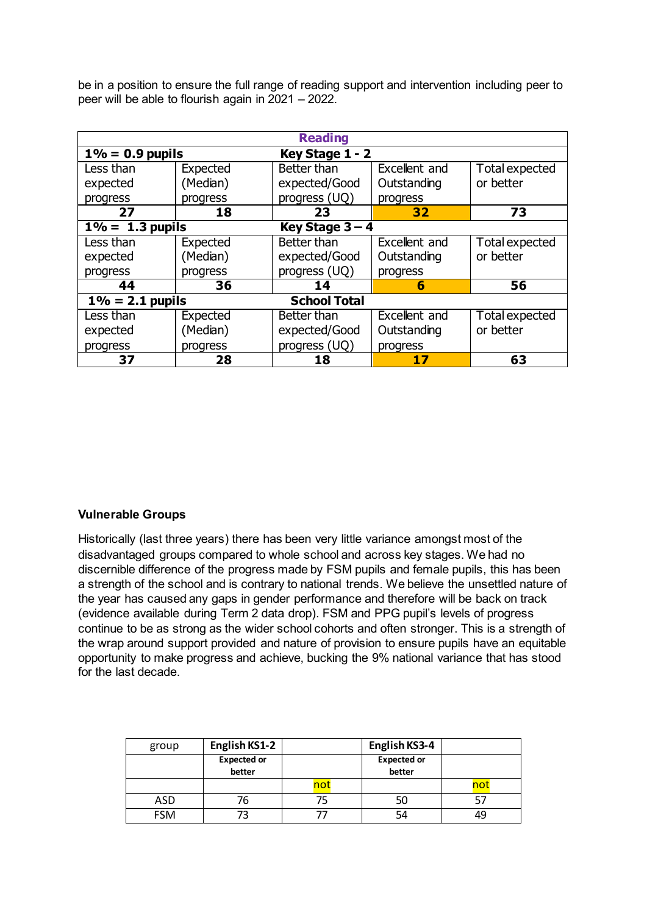be in a position to ensure the full range of reading support and intervention including peer to peer will be able to flourish again in 2021 – 2022.

| <b>Reading</b>                |                   |                     |               |                |  |  |  |  |
|-------------------------------|-------------------|---------------------|---------------|----------------|--|--|--|--|
| $1\% = 0.9$ pupils            |                   | Key Stage 1 - 2     |               |                |  |  |  |  |
| Less than                     | Expected          | Better than         | Excellent and | Total expected |  |  |  |  |
| expected                      | (Median)          | expected/Good       | Outstanding   | or better      |  |  |  |  |
| progress                      | progress          | progress (UQ)       | progress      |                |  |  |  |  |
| 27                            | 18                | 23                  | 32            | 73             |  |  |  |  |
| $\overline{1\%}$ = 1.3 pupils | Key Stage $3 - 4$ |                     |               |                |  |  |  |  |
| Less than                     | Expected          | Better than         | Excellent and | Total expected |  |  |  |  |
| expected                      | (Median)          | expected/Good       | Outstanding   | or better      |  |  |  |  |
| progress                      | progress          | progress (UQ)       | progress      |                |  |  |  |  |
| 44                            | 36                | 14                  | 6             | 56             |  |  |  |  |
| $1\% = 2.1$ pupils            |                   | <b>School Total</b> |               |                |  |  |  |  |
| Less than                     | Expected          | Better than         | Excellent and | Total expected |  |  |  |  |
| expected                      | (Median)          | expected/Good       | Outstanding   | or better      |  |  |  |  |
| progress                      | progress          | progress (UQ)       | progress      |                |  |  |  |  |
| 37                            | 28                | 18                  | 17            | 63             |  |  |  |  |

### **Vulnerable Groups**

Historically (last three years) there has been very little variance amongst most of the disadvantaged groups compared to whole school and across key stages. We had no discernible difference of the progress made by FSM pupils and female pupils, this has been a strength of the school and is contrary to national trends. We believe the unsettled nature of the year has caused any gaps in gender performance and therefore will be back on track (evidence available during Term 2 data drop). FSM and PPG pupil's levels of progress continue to be as strong as the wider school cohorts and often stronger. This is a strength of the wrap around support provided and nature of provision to ensure pupils have an equitable opportunity to make progress and achieve, bucking the 9% national variance that has stood for the last decade.

| group      | English KS1-2      |     | English KS3-4      |  |
|------------|--------------------|-----|--------------------|--|
|            | <b>Expected or</b> |     | <b>Expected or</b> |  |
|            | better             |     | better             |  |
|            |                    | not |                    |  |
| ASD        | 76                 |     | 50                 |  |
| <b>FSM</b> | 73                 |     | 54                 |  |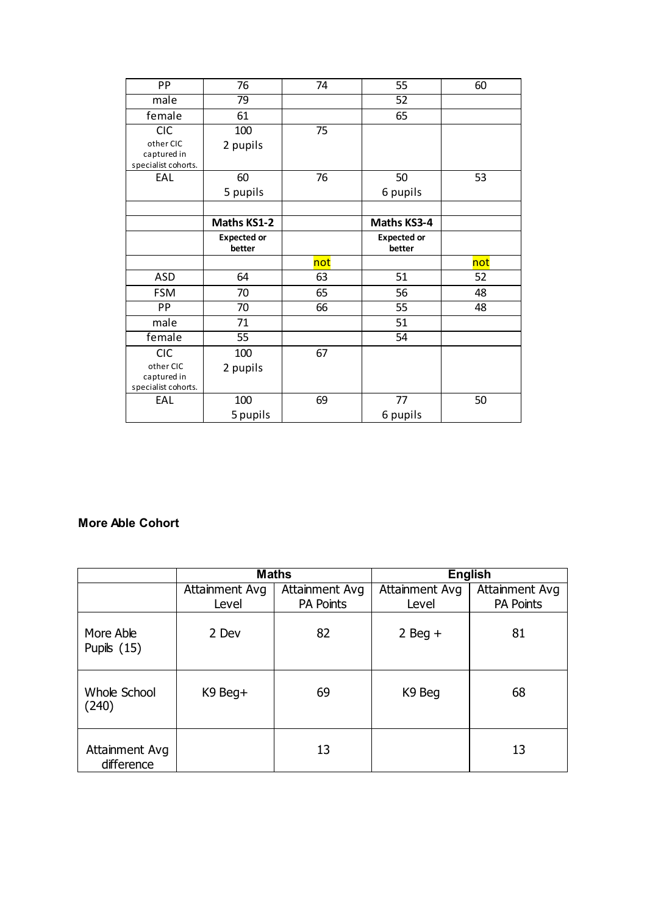| PP                                 | 76                 | 74  | 55                 | 60  |
|------------------------------------|--------------------|-----|--------------------|-----|
| male                               | 79                 |     | 52                 |     |
| female                             | 61                 |     | 65                 |     |
| <b>CIC</b>                         | 100                | 75  |                    |     |
| other CIC                          | 2 pupils           |     |                    |     |
| captured in<br>specialist cohorts. |                    |     |                    |     |
| EAL                                | 60                 | 76  | 50                 | 53  |
|                                    | 5 pupils           |     | 6 pupils           |     |
|                                    |                    |     |                    |     |
|                                    | <b>Maths KS1-2</b> |     | Maths KS3-4        |     |
|                                    | <b>Expected or</b> |     | <b>Expected or</b> |     |
|                                    | better             |     | better             |     |
|                                    |                    | not |                    | not |
| <b>ASD</b>                         | 64                 | 63  | 51                 | 52  |
| <b>FSM</b>                         | 70                 | 65  | 56                 | 48  |
| PP                                 |                    |     |                    |     |
|                                    | 70                 | 66  | 55                 | 48  |
| male                               | 71                 |     | 51                 |     |
| female                             | 55                 |     | 54                 |     |
| <b>CIC</b>                         | 100                | 67  |                    |     |
| other CIC                          | 2 pupils           |     |                    |     |
| captured in                        |                    |     |                    |     |
| specialist cohorts.                |                    |     |                    |     |
| EAL                                | 100<br>5 pupils    | 69  | 77<br>6 pupils     | 50  |

# **More Able Cohort**

|                              | <b>Maths</b>   |                  | <b>English</b> |                  |
|------------------------------|----------------|------------------|----------------|------------------|
|                              | Attainment Avg | Attainment Avg   | Attainment Avg | Attainment Avg   |
|                              | Level          | <b>PA Points</b> | Level          | <b>PA Points</b> |
| More Able<br>Pupils $(15)$   | 2 Dev          | 82               | $2$ Beg +      | 81               |
| Whole School<br>(240)        | K9 Beg+        | 69               | K9 Beg         | 68               |
| Attainment Avg<br>difference |                | 13               |                | 13               |